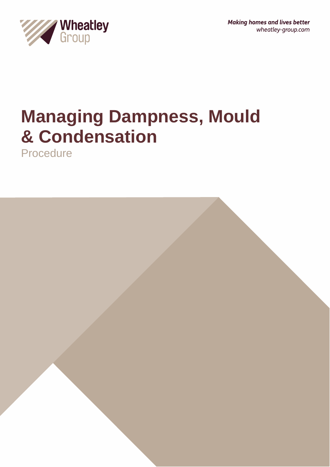

# **Managing Dampness, Mould & Condensation**

Procedure

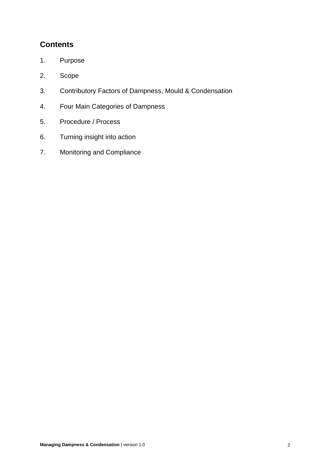# **Contents**

- 1. Purpose
- 2. Scope
- 3. Contributory Factors of Dampness, Mould & Condensation
- 4. Four Main Categories of Dampness
- 5. Procedure / Process
- 6. Turning insight into action
- 7. Monitoring and Compliance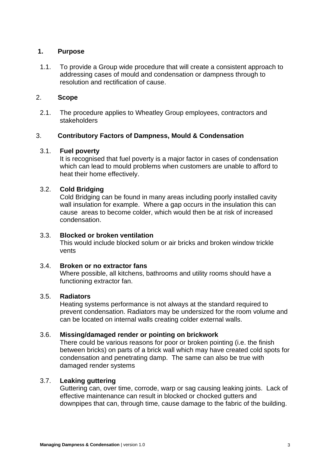## **1. Purpose**

1.1. To provide a Group wide procedure that will create a consistent approach to addressing cases of mould and condensation or dampness through to resolution and rectification of cause.

#### 2. **Scope**

2.1. The procedure applies to Wheatley Group employees, contractors and stakeholders

#### 3. **Contributory Factors of Dampness, Mould & Condensation**

#### 3.1. **Fuel poverty**

It is recognised that fuel poverty is a major factor in cases of condensation which can lead to mould problems when customers are unable to afford to heat their home effectively.

#### 3.2. **Cold Bridging**

Cold Bridging can be found in many areas including poorly installed cavity wall insulation for example. Where a gap occurs in the insulation this can cause areas to become colder, which would then be at risk of increased condensation.

#### 3.3. **Blocked or broken ventilation**

This would include blocked solum or air bricks and broken window trickle vents

#### 3.4. **Broken or no extractor fans**

Where possible, all kitchens, bathrooms and utility rooms should have a functioning extractor fan.

#### 3.5. **Radiators**

Heating systems performance is not always at the standard required to prevent condensation. Radiators may be undersized for the room volume and can be located on internal walls creating colder external walls.

# 3.6. **Missing/damaged render or pointing on brickwork**

There could be various reasons for poor or broken pointing (i.e. the finish between bricks) on parts of a brick wall which may have created cold spots for condensation and penetrating damp. The same can also be true with damaged render systems

#### 3.7. **Leaking guttering**

Guttering can, over time, corrode, warp or sag causing leaking joints. Lack of effective maintenance can result in blocked or chocked gutters and downpipes that can, through time, cause damage to the fabric of the building.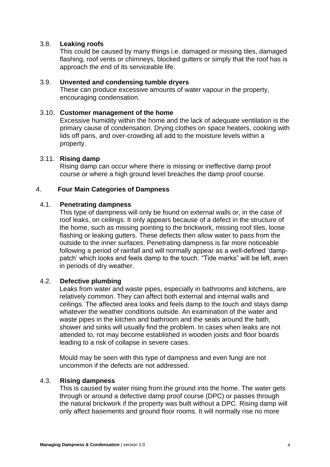## 3.8. **Leaking roofs**

This could be caused by many things i.e. damaged or missing tiles, damaged flashing, roof vents or chimneys, blocked gutters or simply that the roof has is approach the end of its serviceable life.

#### 3.9. **Unvented and condensing tumble dryers**

These can produce excessive amounts of water vapour in the property, encouraging condensation.

#### 3.10. **Customer management of the home**

Excessive humidity within the home and the lack of adequate ventilation is the primary cause of condensation. Drying clothes on space heaters, cooking with lids off pans, and over-crowding all add to the moisture levels within a property.

#### 3.11. **Rising damp**

Rising damp can occur where there is missing or ineffective damp proof course or where a high ground level breaches the damp proof course.

#### 4. **Four Main Categories of Dampness**

#### 4.1. **Penetrating dampness**

This type of dampness will only be found on external walls or, in the case of roof leaks, on ceilings. It only appears because of a defect in the structure of the home, such as missing pointing to the brickwork, missing roof tiles, loose flashing or leaking gutters. These defects then allow water to pass from the outside to the inner surfaces. Penetrating dampness is far more noticeable following a period of rainfall and will normally appear as a well-defined 'damppatch' which looks and feels damp to the touch. "Tide marks" will be left, even in periods of dry weather.

#### 4.2. **Defective plumbing**

Leaks from water and waste pipes, especially in bathrooms and kitchens, are relatively common. They can affect both external and internal walls and ceilings. The affected area looks and feels damp to the touch and stays damp whatever the weather conditions outside. An examination of the water and waste pipes in the kitchen and bathroom and the seals around the bath, shower and sinks will usually find the problem. In cases when leaks are not attended to, rot may become established in wooden joists and floor boards leading to a risk of collapse in severe cases.

Mould may be seen with this type of dampness and even fungi are not uncommon if the defects are not addressed.

#### 4.3. **Rising dampness**

This is caused by water rising from the ground into the home. The water gets through or around a defective damp proof course (DPC) or passes through the natural brickwork if the property was built without a DPC. Rising damp will only affect basements and ground floor rooms. It will normally rise no more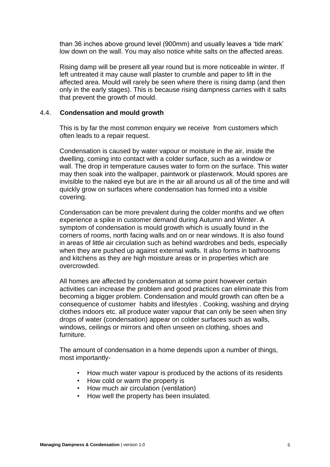than 36 inches above ground level (900mm) and usually leaves a 'tide mark' low down on the wall. You may also notice white salts on the affected areas.

Rising damp will be present all year round but is more noticeable in winter. If left untreated it may cause wall plaster to crumble and paper to lift in the affected area. Mould will rarely be seen where there is rising damp (and then only in the early stages). This is because rising dampness carries with it salts that prevent the growth of mould.

# 4.4. **Condensation and mould growth**

This is by far the most common enquiry we receive from customers which often leads to a repair request.

Condensation is caused by water vapour or moisture in the air, inside the dwelling, coming into contact with a colder surface, such as a window or wall. The drop in temperature causes water to form on the surface. This water may then soak into the wallpaper, paintwork or plasterwork. Mould spores are invisible to the naked eye but are in the air all around us all of the time and will quickly grow on surfaces where condensation has formed into a visible covering.

Condensation can be more prevalent during the colder months and we often experience a spike in customer demand during Autumn and Winter. A symptom of condensation is mould growth which is usually found in the corners of rooms, north facing walls and on or near windows. It is also found in areas of little air circulation such as behind wardrobes and beds, especially when they are pushed up against external walls. It also forms in bathrooms and kitchens as they are high moisture areas or in properties which are overcrowded.

All homes are affected by condensation at some point however certain activities can increase the problem and good practices can eliminate this from becoming a bigger problem. Condensation and mould growth can often be a consequence of customer habits and lifestyles . Cooking, washing and drying clothes indoors etc. all produce water vapour that can only be seen when tiny drops of water (condensation) appear on colder surfaces such as walls, windows, ceilings or mirrors and often unseen on clothing, shoes and furniture.

The amount of condensation in a home depends upon a number of things, most importantly-

- How much water vapour is produced by the actions of its residents
- How cold or warm the property is
- How much air circulation (ventilation)
- How well the property has been insulated.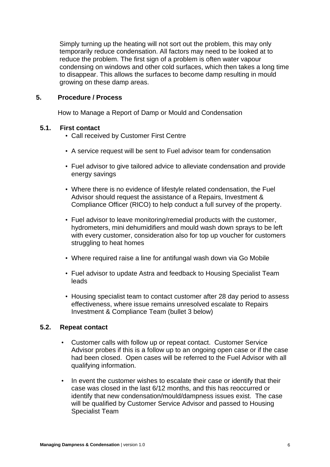Simply turning up the heating will not sort out the problem, this may only temporarily reduce condensation. All factors may need to be looked at to reduce the problem. The first sign of a problem is often water vapour condensing on windows and other cold surfaces, which then takes a long time to disappear. This allows the surfaces to become damp resulting in mould growing on these damp areas.

#### **5. Procedure / Process**

How to Manage a Report of Damp or Mould and Condensation

#### **5.1. First contact**

- Call received by Customer First Centre
- A service request will be sent to Fuel advisor team for condensation
- Fuel advisor to give tailored advice to alleviate condensation and provide energy savings
- Where there is no evidence of lifestyle related condensation, the Fuel Advisor should request the assistance of a Repairs, Investment & Compliance Officer (RICO) to help conduct a full survey of the property.
- Fuel advisor to leave monitoring/remedial products with the customer, hydrometers, mini dehumidifiers and mould wash down sprays to be left with every customer, consideration also for top up voucher for customers struggling to heat homes
- Where required raise a line for antifungal wash down via Go Mobile
- Fuel advisor to update Astra and feedback to Housing Specialist Team leads
- Housing specialist team to contact customer after 28 day period to assess effectiveness, where issue remains unresolved escalate to Repairs Investment & Compliance Team (bullet 3 below)

# **5.2. Repeat contact**

- Customer calls with follow up or repeat contact. Customer Service Advisor probes if this is a follow up to an ongoing open case or if the case had been closed. Open cases will be referred to the Fuel Advisor with all qualifying information.
- In event the customer wishes to escalate their case or identify that their case was closed in the last 6/12 months, and this has reoccurred or identify that new condensation/mould/dampness issues exist. The case will be qualified by Customer Service Advisor and passed to Housing Specialist Team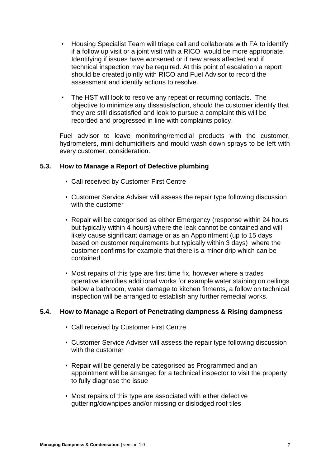- Housing Specialist Team will triage call and collaborate with FA to identify if a follow up visit or a joint visit with a RICO would be more appropriate. Identifying if issues have worsened or if new areas affected and if technical inspection may be required. At this point of escalation a report should be created jointly with RICO and Fuel Advisor to record the assessment and identify actions to resolve.
- The HST will look to resolve any repeat or recurring contacts. The objective to minimize any dissatisfaction, should the customer identify that they are still dissatisfied and look to pursue a complaint this will be recorded and progressed in line with complaints policy.

Fuel advisor to leave monitoring/remedial products with the customer, hydrometers, mini dehumidifiers and mould wash down sprays to be left with every customer, consideration.

# **5.3. How to Manage a Report of Defective plumbing**

- Call received by Customer First Centre
- Customer Service Adviser will assess the repair type following discussion with the customer
- Repair will be categorised as either Emergency (response within 24 hours but typically within 4 hours) where the leak cannot be contained and will likely cause significant damage or as an Appointment (up to 15 days based on customer requirements but typically within 3 days) where the customer confirms for example that there is a minor drip which can be contained
- Most repairs of this type are first time fix, however where a trades operative identifies additional works for example water staining on ceilings below a bathroom, water damage to kitchen fitments, a follow on technical inspection will be arranged to establish any further remedial works.

# **5.4. How to Manage a Report of Penetrating dampness & Rising dampness**

- Call received by Customer First Centre
- Customer Service Adviser will assess the repair type following discussion with the customer
- Repair will be generally be categorised as Programmed and an appointment will be arranged for a technical inspector to visit the property to fully diagnose the issue
- Most repairs of this type are associated with either defective guttering/downpipes and/or missing or dislodged roof tiles